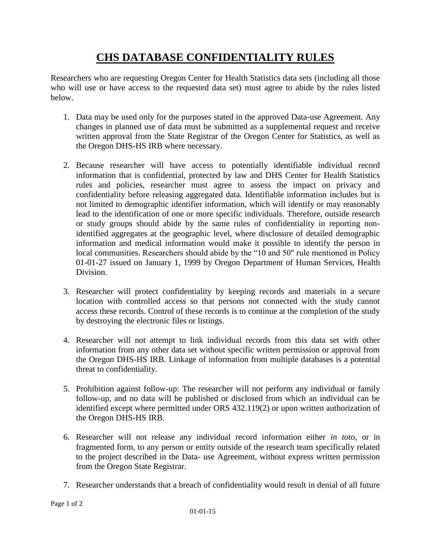## **CHS DATABASE CONFIDENTIALITY RULES**

Researchers who are requesting Oregon Center for Health Statistics data sets (including all those who will use or have access to the requested data set) must agree to abide by the rules listed below.

- 1. Data may be used only for the purposes stated in the approved Data-use Agreement. Any changes in planned use of data must be submitted as a supplemental request and receive written approval from the State Registrar of the Oregon Center for Statistics, as well as the Oregon DHS-HS IRB where necessary.
- 2. Because researcher will have access to potentially identifiable individual record information that is confidential, protected by law and DHS Center for Health Statistics rules and policies, researcher must agree to assess the impact on privacy and confidentiality before releasing aggregated data. Identifiable information includes but is not limited to demographic identifier information, which will identify or may reasonably lead to the identification of one or more specific individuals. Therefore, outside research or study groups should abide by the same rules of confidentiality in reporting nonidentified aggregates at the geographic level, where disclosure of detailed demographic information and medical information would make it possible to identify the person in local communities. Researchers should abide by the "10 and 50" rule mentioned in Policy 01-01-27 issued on January 1, 1999 by Oregon Department of Human Services, Health Division.
- 3. Researcher will protect confidentiality by keeping records and materials in a secure location with controlled access so that persons not connected with the study cannot access these records. Control of these records is to continue at the completion of the study by destroying the electronic files or listings.
- 4. Researcher will not attempt to link individual records from this data set with other information from any other data set without specific written permission or approval from the Oregon DHS-HS IRB. Linkage of information from multiple databases is a potential threat to confidentiality.
- 5. Prohibition against follow-up: The researcher will not perform any individual or family follow-up, and no data will be published or disclosed from which an individual can be identified except where permitted under ORS 432.119(2) or upon written authorization of the Oregon DHS-HS IRB.
- 6. Researcher will not release any individual record information either *in toto*, or in fragmented form, to any person or entity outside of the research team specifically related to the project described in the Data- use Agreement, without express written permission from the Oregon State Registrar.
- 7. Researcher understands that a breach of confidentiality would result in denial of all future